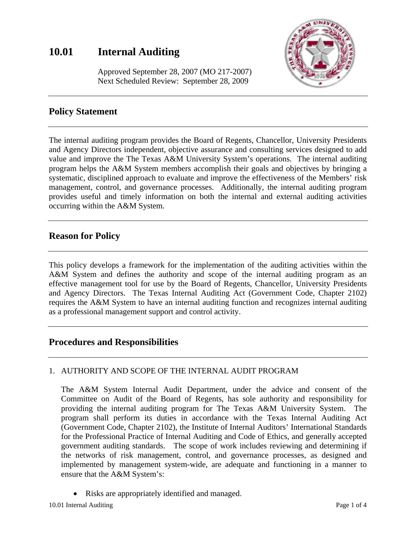# **10.01 Internal Auditing**



 Approved September 28, 2007 (MO 217-2007) Next Scheduled Review: September 28, 2009

# **Policy Statement**

The internal auditing program provides the Board of Regents, Chancellor, University Presidents and Agency Directors independent, objective assurance and consulting services designed to add value and improve the The Texas A&M University System's operations. The internal auditing program helps the A&M System members accomplish their goals and objectives by bringing a systematic, disciplined approach to evaluate and improve the effectiveness of the Members' risk management, control, and governance processes. Additionally, the internal auditing program provides useful and timely information on both the internal and external auditing activities occurring within the A&M System.

### **Reason for Policy**

This policy develops a framework for the implementation of the auditing activities within the A&M System and defines the authority and scope of the internal auditing program as an effective management tool for use by the Board of Regents, Chancellor, University Presidents and Agency Directors. The Texas Internal Auditing Act (Government Code, Chapter 2102) requires the A&M System to have an internal auditing function and recognizes internal auditing as a professional management support and control activity.

### **Procedures and Responsibilities**

#### 1. AUTHORITY AND SCOPE OF THE INTERNAL AUDIT PROGRAM

The A&M System Internal Audit Department, under the advice and consent of the Committee on Audit of the Board of Regents, has sole authority and responsibility for providing the internal auditing program for The Texas A&M University System. The program shall perform its duties in accordance with the Texas Internal Auditing Act (Government Code, Chapter 2102), the Institute of Internal Auditors' International Standards for the Professional Practice of Internal Auditing and Code of Ethics, and generally accepted government auditing standards. The scope of work includes reviewing and determining if the networks of risk management, control, and governance processes, as designed and implemented by management system-wide, are adequate and functioning in a manner to ensure that the A&M System's:

• Risks are appropriately identified and managed.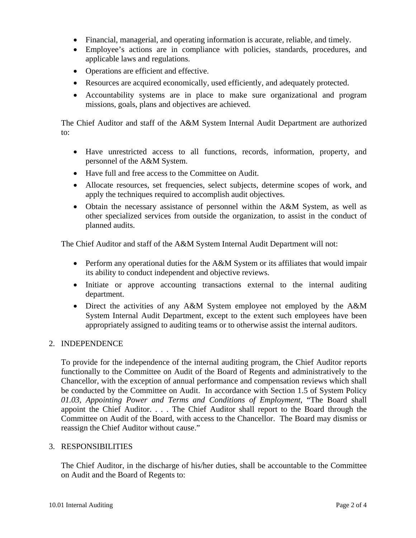- Financial, managerial, and operating information is accurate, reliable, and timely.
- Employee's actions are in compliance with policies, standards, procedures, and applicable laws and regulations.
- Operations are efficient and effective.
- Resources are acquired economically, used efficiently, and adequately protected.
- Accountability systems are in place to make sure organizational and program missions, goals, plans and objectives are achieved.

The Chief Auditor and staff of the A&M System Internal Audit Department are authorized to:

- Have unrestricted access to all functions, records, information, property, and personnel of the A&M System.
- Have full and free access to the Committee on Audit.
- Allocate resources, set frequencies, select subjects, determine scopes of work, and apply the techniques required to accomplish audit objectives.
- Obtain the necessary assistance of personnel within the A&M System, as well as other specialized services from outside the organization, to assist in the conduct of planned audits.

The Chief Auditor and staff of the A&M System Internal Audit Department will not:

- Perform any operational duties for the A&M System or its affiliates that would impair its ability to conduct independent and objective reviews.
- Initiate or approve accounting transactions external to the internal auditing department.
- Direct the activities of any A&M System employee not employed by the A&M System Internal Audit Department, except to the extent such employees have been appropriately assigned to auditing teams or to otherwise assist the internal auditors.

#### 2. INDEPENDENCE

To provide for the independence of the internal auditing program, the Chief Auditor reports functionally to the Committee on Audit of the Board of Regents and administratively to the Chancellor, with the exception of annual performance and compensation reviews which shall be conducted by the Committee on Audit. In accordance with Section 1.5 of System Policy *01.03, Appointing Power and Terms and Conditions of Employment*, "The Board shall appoint the Chief Auditor. . . . The Chief Auditor shall report to the Board through the Committee on Audit of the Board, with access to the Chancellor. The Board may dismiss or reassign the Chief Auditor without cause."

#### 3. RESPONSIBILITIES

The Chief Auditor, in the discharge of his/her duties, shall be accountable to the Committee on Audit and the Board of Regents to: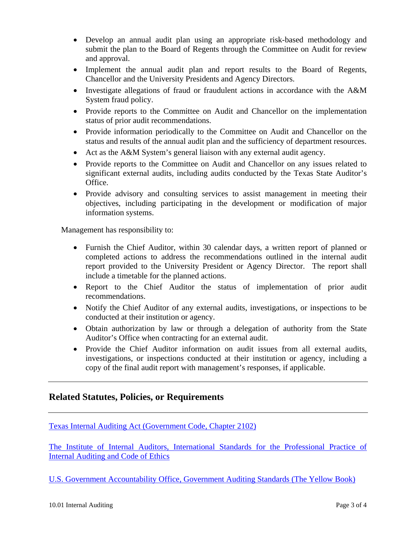- Develop an annual audit plan using an appropriate risk-based methodology and submit the plan to the Board of Regents through the Committee on Audit for review and approval.
- Implement the annual audit plan and report results to the Board of Regents, Chancellor and the University Presidents and Agency Directors.
- Investigate allegations of fraud or fraudulent actions in accordance with the A&M System fraud policy.
- Provide reports to the Committee on Audit and Chancellor on the implementation status of prior audit recommendations.
- Provide information periodically to the Committee on Audit and Chancellor on the status and results of the annual audit plan and the sufficiency of department resources.
- Act as the A&M System's general liaison with any external audit agency.
- Provide reports to the Committee on Audit and Chancellor on any issues related to significant external audits, including audits conducted by the Texas State Auditor's Office.
- Provide advisory and consulting services to assist management in meeting their objectives, including participating in the development or modification of major information systems.

Management has responsibility to:

- Furnish the Chief Auditor, within 30 calendar days, a written report of planned or completed actions to address the recommendations outlined in the internal audit report provided to the University President or Agency Director. The report shall include a timetable for the planned actions.
- Report to the Chief Auditor the status of implementation of prior audit recommendations.
- Notify the Chief Auditor of any external audits, investigations, or inspections to be conducted at their institution or agency.
- Obtain authorization by law or through a delegation of authority from the State Auditor's Office when contracting for an external audit.
- Provide the Chief Auditor information on audit issues from all external audits, investigations, or inspections conducted at their institution or agency, including a copy of the final audit report with management's responses, if applicable.

### **Related Statutes, Policies, or Requirements**

[Texas Internal Auditing Act \(Government Code, Chapter 2102\)](http://tlo2.tlc.state.tx.us/statutes/docs/GV/content/htm/gv.010.00.002102.00.htm)

[The Institute of Internal Auditors, International Standards for the Professional Practice of](http://www.theiia.org/guidance/standards-and-guidance/ippf/)  [Internal Auditing and Code of Ethics](http://www.theiia.org/guidance/standards-and-guidance/ippf/)

[U.S. Government Accountability Office, Government Auditing Standards \(The Yellow Book\)](http://www.gao.gov/new.items/d07731g.pdf)